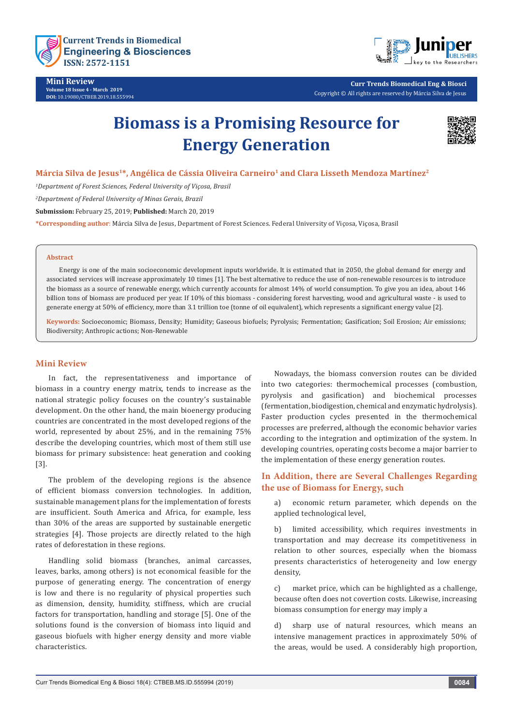

**Mini Review Volume 18 Issue 4 - March 2019 DOI:** [10.19080/CTBEB.2019.18.555994](http://dx.doi.org/10.19080/CTBEB.2019.18.555994)



**Curr Trends Biomedical Eng & Biosci** Copyright © All rights are reserved by Márcia Silva de Jesus

# **Biomass is a Promising Resource for Energy Generation**



## Márcia Silva de Jesus<sup>1\*</sup>, Angélica de Cássia Oliveira Carneiro<sup>1</sup> and Clara Lisseth Mendoza Martínez<sup>2</sup>

*1 Department of Forest Sciences, Federal University of Viçosa, Brasil*

*2 Department of Federal University of Minas Gerais, Brazil*

**Submission:** February 25, 2019; **Published:** March 20, 2019

**\*Corresponding author**: Márcia Silva de Jesus, Department of Forest Sciences. Federal University of Viçosa, Viçosa, Brasil

#### **Abstract**

Energy is one of the main socioeconomic development inputs worldwide. It is estimated that in 2050, the global demand for energy and associated services will increase approximately 10 times [1]. The best alternative to reduce the use of non-renewable resources is to introduce the biomass as a source of renewable energy, which currently accounts for almost 14% of world consumption. To give you an idea, about 146 billion tons of biomass are produced per year. If 10% of this biomass - considering forest harvesting, wood and agricultural waste - is used to generate energy at 50% of efficiency, more than 3.1 trillion toe (tonne of oil equivalent), which represents a significant energy value [2].

**Keywords:** Socioeconomic; Biomass, Density; Humidity; Gaseous biofuels; Pyrolysis; Fermentation; Gasification; Soil Erosion; Air emissions; Biodiversity; Anthropic actions; Non-Renewable

#### **Mini Review**

In fact, the representativeness and importance of biomass in a country energy matrix, tends to increase as the national strategic policy focuses on the country's sustainable development. On the other hand, the main bioenergy producing countries are concentrated in the most developed regions of the world, represented by about 25%, and in the remaining 75% describe the developing countries, which most of them still use biomass for primary subsistence: heat generation and cooking [3].

The problem of the developing regions is the absence of efficient biomass conversion technologies. In addition, sustainable management plans for the implementation of forests are insufficient. South America and Africa, for example, less than 30% of the areas are supported by sustainable energetic strategies [4]. Those projects are directly related to the high rates of deforestation in these regions.

Handling solid biomass (branches, animal carcasses, leaves, barks, among others) is not economical feasible for the purpose of generating energy. The concentration of energy is low and there is no regularity of physical properties such as dimension, density, humidity, stiffness, which are crucial factors for transportation, handling and storage [5]. One of the solutions found is the conversion of biomass into liquid and gaseous biofuels with higher energy density and more viable characteristics.

Nowadays, the biomass conversion routes can be divided into two categories: thermochemical processes (combustion, pyrolysis and gasification) and biochemical processes (fermentation, biodigestion, chemical and enzymatic hydrolysis). Faster production cycles presented in the thermochemical processes are preferred, although the economic behavior varies according to the integration and optimization of the system. In developing countries, operating costs become a major barrier to the implementation of these energy generation routes.

# **In Addition, there are Several Challenges Regarding the use of Biomass for Energy, such**

a) economic return parameter, which depends on the applied technological level,

b) limited accessibility, which requires investments in transportation and may decrease its competitiveness in relation to other sources, especially when the biomass presents characteristics of heterogeneity and low energy density,

c) market price, which can be highlighted as a challenge, because often does not covertion costs. Likewise, increasing biomass consumption for energy may imply a

d) sharp use of natural resources, which means an intensive management practices in approximately 50% of the areas, would be used. A considerably high proportion,